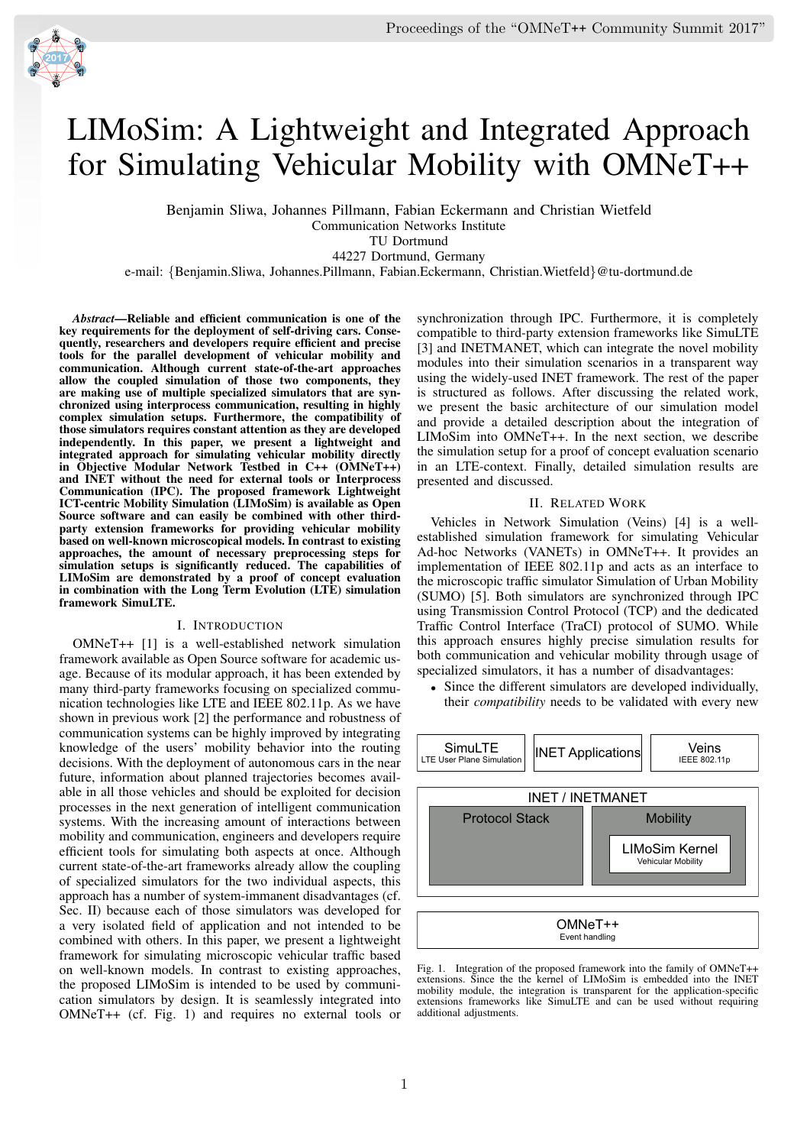# LIMoSim: A Lightweight and Integrated Approach for Simulating Vehicular Mobility with OMNeT++

Benjamin Sliwa, Johannes Pillmann, Fabian Eckermann and Christian Wietfeld Communication Networks Institute

TU Dortmund 44227 Dortmund, Germany

e-mail: {Benjamin.Sliwa, Johannes.Pillmann, Fabian.Eckermann, Christian.Wietfeld}@tu-dortmund.de

*Abstract*—Reliable and efficient communication is one of the key requirements for the deployment of self-driving cars. Consequently, researchers and developers require efficient and precise tools for the parallel development of vehicular mobility and communication. Although current state-of-the-art approaches allow the coupled simulation of those two components, they are making use of multiple specialized simulators that are synchronized using interprocess communication, resulting in highly complex simulation setups. Furthermore, the compatibility of those simulators requires constant attention as they are developed independently. In this paper, we present a lightweight and integrated approach for simulating vehicular mobility directly in Objective Modular Network Testbed in C++ (OMNeT++) and INET without the need for external tools or Interprocess Communication (IPC). The proposed framework Lightweight ICT-centric Mobility Simulation (LIMoSim) is available as Open Source software and can easily be combined with other thirdparty extension frameworks for providing vehicular mobility based on well-known microscopical models. In contrast to existing approaches, the amount of necessary preprocessing steps for simulation setups is significantly reduced. The capabilities of LIMoSim are demonstrated by a proof of concept evaluation in combination with the Long Term Evolution (LTE) simulation framework SimuLTE.

### I. INTRODUCTION

OMNeT++ [1] is a well-established network simulation framework available as Open Source software for academic usage. Because of its modular approach, it has been extended by many third-party frameworks focusing on specialized communication technologies like LTE and IEEE 802.11p. As we have shown in previous work [2] the performance and robustness of communication systems can be highly improved by integrating knowledge of the users' mobility behavior into the routing decisions. With the deployment of autonomous cars in the near future, information about planned trajectories becomes available in all those vehicles and should be exploited for decision processes in the next generation of intelligent communication systems. With the increasing amount of interactions between mobility and communication, engineers and developers require efficient tools for simulating both aspects at once. Although current state-of-the-art frameworks already allow the coupling of specialized simulators for the two individual aspects, this approach has a number of system-immanent disadvantages (cf. Sec. II) because each of those simulators was developed for a very isolated field of application and not intended to be combined with others. In this paper, we present a lightweight framework for simulating microscopic vehicular traffic based on well-known models. In contrast to existing approaches, the proposed LIMoSim is intended to be used by communication simulators by design. It is seamlessly integrated into OMNeT++ (cf. Fig. 1) and requires no external tools or synchronization through IPC. Furthermore, it is completely compatible to third-party extension frameworks like SimuLTE [3] and INETMANET, which can integrate the novel mobility modules into their simulation scenarios in a transparent way using the widely-used INET framework. The rest of the paper is structured as follows. After discussing the related work, we present the basic architecture of our simulation model and provide a detailed description about the integration of LIMoSim into OMNeT++. In the next section, we describe the simulation setup for a proof of concept evaluation scenario in an LTE-context. Finally, detailed simulation results are presented and discussed.

## II. RELATED WORK

Vehicles in Network Simulation (Veins) [4] is a wellestablished simulation framework for simulating Vehicular Ad-hoc Networks (VANETs) in OMNeT++. It provides an implementation of IEEE 802.11p and acts as an interface to the microscopic traffic simulator Simulation of Urban Mobility (SUMO) [5]. Both simulators are synchronized through IPC using Transmission Control Protocol (TCP) and the dedicated Traffic Control Interface (TraCI) protocol of SUMO. While this approach ensures highly precise simulation results for both communication and vehicular mobility through usage of specialized simulators, it has a number of disadvantages:

Since the different simulators are developed individually, their *compatibility* needs to be validated with every new



Fig. 1. Integration of the proposed framework into the family of OMNeT++ extensions. Since the the kernel of LIMoSim is embedded into the INET mobility module, the integration is transparent for the application-specific extensions frameworks like SimuLTE and can be used without requiring additional adjustments.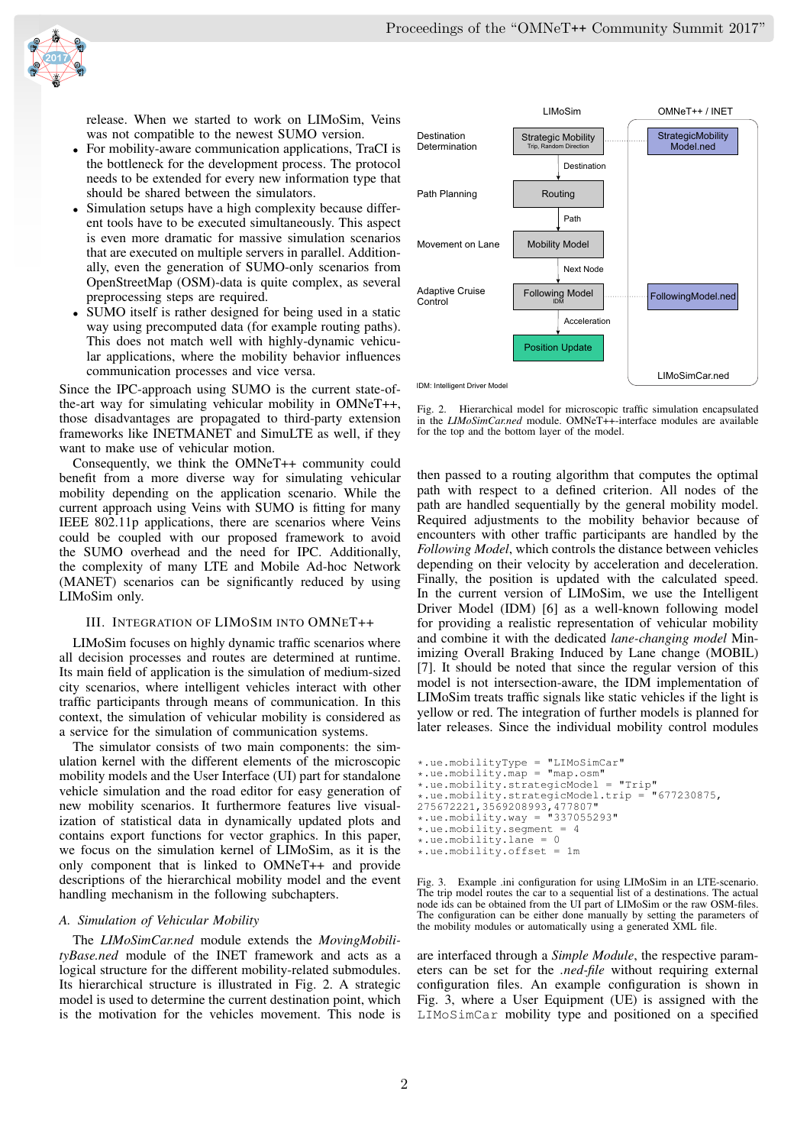

release. When we started to work on LIMoSim, Veins was not compatible to the newest SUMO version.

- For mobility-aware communication applications, TraCI is the bottleneck for the development process. The protocol needs to be extended for every new information type that should be shared between the simulators.
- Simulation setups have a high complexity because different tools have to be executed simultaneously. This aspect is even more dramatic for massive simulation scenarios that are executed on multiple servers in parallel. Additionally, even the generation of SUMO-only scenarios from OpenStreetMap (OSM)-data is quite complex, as several preprocessing steps are required.
- SUMO itself is rather designed for being used in a static way using precomputed data (for example routing paths). This does not match well with highly-dynamic vehicular applications, where the mobility behavior influences communication processes and vice versa.

Since the IPC-approach using SUMO is the current state-ofthe-art way for simulating vehicular mobility in OMNeT++, those disadvantages are propagated to third-party extension frameworks like INETMANET and SimuLTE as well, if they want to make use of vehicular motion.

Consequently, we think the OMNeT++ community could benefit from a more diverse way for simulating vehicular mobility depending on the application scenario. While the current approach using Veins with SUMO is fitting for many IEEE 802.11p applications, there are scenarios where Veins could be coupled with our proposed framework to avoid the SUMO overhead and the need for IPC. Additionally, the complexity of many LTE and Mobile Ad-hoc Network (MANET) scenarios can be significantly reduced by using LIMoSim only.

## III. INTEGRATION OF LIMOSIM INTO OMNET++

LIMoSim focuses on highly dynamic traffic scenarios where all decision processes and routes are determined at runtime. Its main field of application is the simulation of medium-sized city scenarios, where intelligent vehicles interact with other traffic participants through means of communication. In this context, the simulation of vehicular mobility is considered as a service for the simulation of communication systems.

The simulator consists of two main components: the simulation kernel with the different elements of the microscopic mobility models and the User Interface (UI) part for standalone vehicle simulation and the road editor for easy generation of new mobility scenarios. It furthermore features live visualization of statistical data in dynamically updated plots and contains export functions for vector graphics. In this paper, we focus on the simulation kernel of LIMoSim, as it is the only component that is linked to OMNeT++ and provide descriptions of the hierarchical mobility model and the event handling mechanism in the following subchapters.

## *A. Simulation of Vehicular Mobility*

The *LIMoSimCar.ned* module extends the *MovingMobilityBase.ned* module of the INET framework and acts as a logical structure for the different mobility-related submodules. Its hierarchical structure is illustrated in Fig. 2. A strategic model is used to determine the current destination point, which is the motivation for the vehicles movement. This node is



Fig. 2. Hierarchical model for microscopic traffic simulation encapsulated in the *LIMoSimCar.ned* module. OMNeT++-interface modules are available for the top and the bottom layer of the model.

then passed to a routing algorithm that computes the optimal path with respect to a defined criterion. All nodes of the path are handled sequentially by the general mobility model. Required adjustments to the mobility behavior because of encounters with other traffic participants are handled by the *Following Model*, which controls the distance between vehicles depending on their velocity by acceleration and deceleration. Finally, the position is updated with the calculated speed. In the current version of LIMoSim, we use the Intelligent Driver Model (IDM) [6] as a well-known following model for providing a realistic representation of vehicular mobility and combine it with the dedicated *lane-changing model* Minimizing Overall Braking Induced by Lane change (MOBIL) [7]. It should be noted that since the regular version of this model is not intersection-aware, the IDM implementation of LIMoSim treats traffic signals like static vehicles if the light is yellow or red. The integration of further models is planned for later releases. Since the individual mobility control modules

```
*.ue.mobilityType = "LIMoSimCar"
*.ue.mobility.map = "map.osm"
*.ue.mobility.strategicModel = "Trip"
*.ue.mobility.strategicModel.trip = "677230875,
275672221,3569208993,477807"
*.ue.mobility.way = "337055293"
*.ue.mobility.segment = 4
*.ue.mobility.lang = 0*.ue.mobility.offset = 1m
```
Fig. 3. Example .ini configuration for using LIMoSim in an LTE-scenario. The trip model routes the car to a sequential list of a destinations. The actual node ids can be obtained from the UI part of LIMoSim or the raw OSM-files. The configuration can be either done manually by setting the parameters of the mobility modules or automatically using a generated XML file.

are interfaced through a *Simple Module*, the respective parameters can be set for the *.ned-file* without requiring external configuration files. An example configuration is shown in Fig. 3, where a User Equipment (UE) is assigned with the LIMoSimCar mobility type and positioned on a specified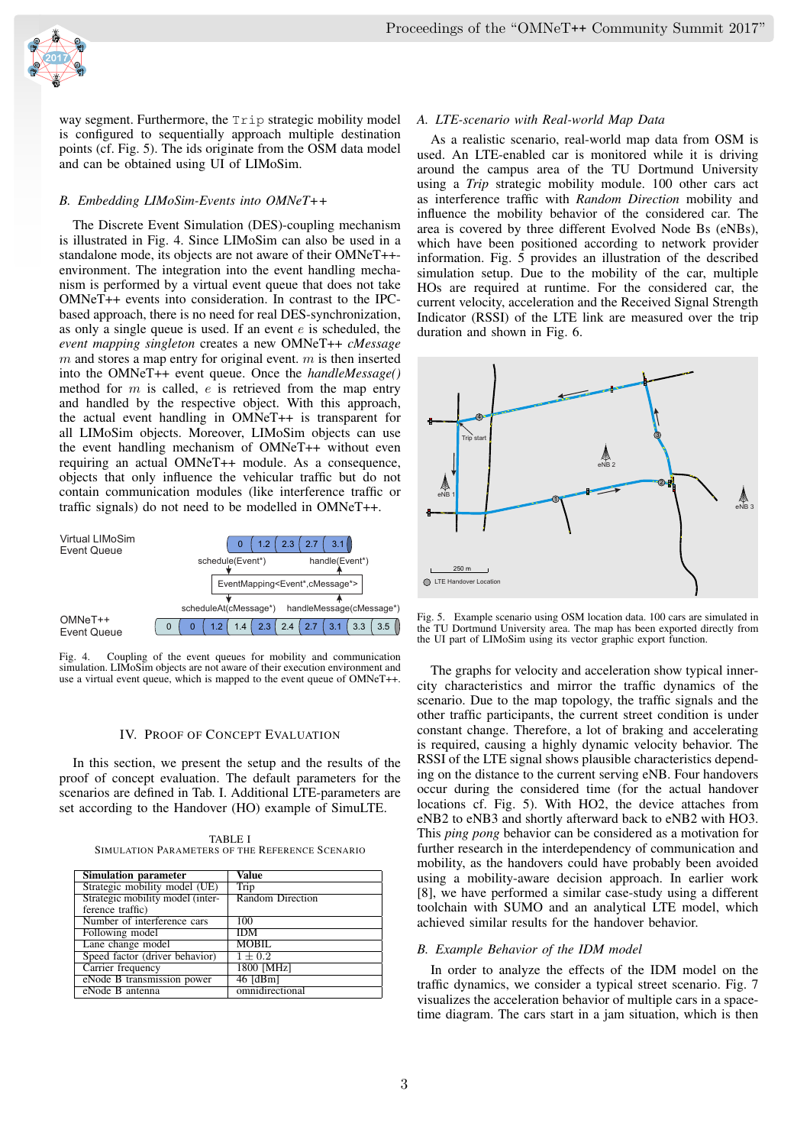

way segment. Furthermore, the Trip strategic mobility model is configured to sequentially approach multiple destination points (cf. Fig. 5). The ids originate from the OSM data model and can be obtained using UI of LIMoSim.

## *B. Embedding LIMoSim-Events into OMNeT++*

The Discrete Event Simulation (DES)-coupling mechanism is illustrated in Fig. 4. Since LIMoSim can also be used in a standalone mode, its objects are not aware of their OMNeT++ environment. The integration into the event handling mechanism is performed by a virtual event queue that does not take OMNeT++ events into consideration. In contrast to the IPCbased approach, there is no need for real DES-synchronization, as only a single queue is used. If an event  $e$  is scheduled, the *event mapping singleton* creates a new OMNeT++ *cMessage*  $m$  and stores a map entry for original event.  $m$  is then inserted into the OMNeT++ event queue. Once the *handleMessage()* method for  $m$  is called,  $e$  is retrieved from the map entry and handled by the respective object. With this approach, the actual event handling in OMNeT++ is transparent for all LIMoSim objects. Moreover, LIMoSim objects can use the event handling mechanism of OMNeT++ without even requiring an actual OMNeT++ module. As a consequence, objects that only influence the vehicular traffic but do not contain communication modules (like interference traffic or traffic signals) do not need to be modelled in OMNeT++.



Fig. 4. Coupling of the event queues for mobility and communication simulation. LIMoSim objects are not aware of their execution environment and use a virtual event queue, which is mapped to the event queue of OMNeT++.

## IV. PROOF OF CONCEPT EVALUATION

In this section, we present the setup and the results of the proof of concept evaluation. The default parameters for the scenarios are defined in Tab. I. Additional LTE-parameters are set according to the Handover (HO) example of SimuLTE.

TABLE I SIMULATION PARAMETERS OF THE REFERENCE SCENARIO

| <b>Simulation parameter</b>      | Value            |
|----------------------------------|------------------|
| Strategic mobility model (UE)    | Trip             |
| Strategic mobility model (inter- | Random Direction |
| ference traffic)                 |                  |
| Number of interference cars      | 100              |
| Following model                  | <b>IDM</b>       |
| Lane change model                | <b>MOBIL</b>     |
| Speed factor (driver behavior)   | $1 \pm 0.2$      |
| Carrier frequency                | 1800 [MHz]       |
| eNode B transmission power       | $46$ [dBm]       |
| eNode B antenna                  | omnidirectional  |

## *A. LTE-scenario with Real-world Map Data*

As a realistic scenario, real-world map data from OSM is used. An LTE-enabled car is monitored while it is driving around the campus area of the TU Dortmund University using a *Trip* strategic mobility module. 100 other cars act as interference traffic with *Random Direction* mobility and influence the mobility behavior of the considered car. The area is covered by three different Evolved Node Bs (eNBs), which have been positioned according to network provider information. Fig.  $\overline{5}$  provides an illustration of the described simulation setup. Due to the mobility of the car, multiple HOs are required at runtime. For the considered car, the current velocity, acceleration and the Received Signal Strength Indicator (RSSI) of the LTE link are measured over the trip duration and shown in Fig. 6.



Example scenario using OSM location data. 100 cars are simulated in the TU Dortmund University area. The map has been exported directly from the UI part of LIMoSim using its vector graphic export function.

The graphs for velocity and acceleration show typical innercity characteristics and mirror the traffic dynamics of the scenario. Due to the map topology, the traffic signals and the other traffic participants, the current street condition is under constant change. Therefore, a lot of braking and accelerating is required, causing a highly dynamic velocity behavior. The RSSI of the LTE signal shows plausible characteristics depending on the distance to the current serving eNB. Four handovers occur during the considered time (for the actual handover locations cf. Fig. 5). With HO2, the device attaches from eNB2 to eNB3 and shortly afterward back to eNB2 with HO3. This *ping pong* behavior can be considered as a motivation for further research in the interdependency of communication and mobility, as the handovers could have probably been avoided using a mobility-aware decision approach. In earlier work [8], we have performed a similar case-study using a different toolchain with SUMO and an analytical LTE model, which achieved similar results for the handover behavior.

### *B. Example Behavior of the IDM model*

In order to analyze the effects of the IDM model on the traffic dynamics, we consider a typical street scenario. Fig. 7 visualizes the acceleration behavior of multiple cars in a spacetime diagram. The cars start in a jam situation, which is then